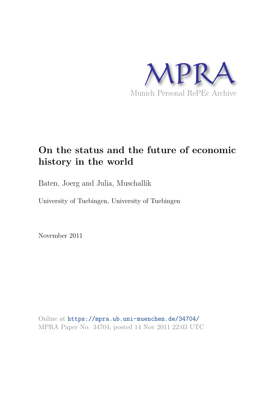

# **On the status and the future of economic history in the world**

Baten, Joerg and Julia, Muschallik

University of Tuebingen, University of Tuebingen

November 2011

Online at https://mpra.ub.uni-muenchen.de/34704/ MPRA Paper No. 34704, posted 14 Nov 2011 22:03 UTC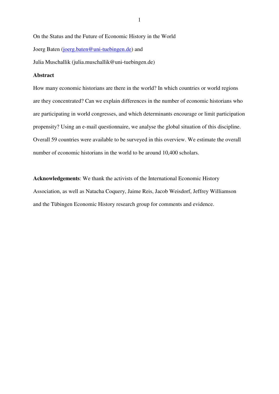On the Status and the Future of Economic History in the World Joerg Baten [\(joerg.baten@uni-tuebingen.de\)](mailto:joerg.baten@uni-tuebingen.de) and Julia Muschallik (julia.muschallik@uni-tuebingen.de)

### **Abstract**

How many economic historians are there in the world? In which countries or world regions are they concentrated? Can we explain differences in the number of economic historians who are participating in world congresses, and which determinants encourage or limit participation propensity? Using an e-mail questionnaire, we analyse the global situation of this discipline. Overall 59 countries were available to be surveyed in this overview. We estimate the overall number of economic historians in the world to be around 10,400 scholars.

**Acknowledgements**: We thank the activists of the International Economic History Association, as well as Natacha Coquery, Jaime Reis, Jacob Weisdorf, Jeffrey Williamson and the Tübingen Economic History research group for comments and evidence.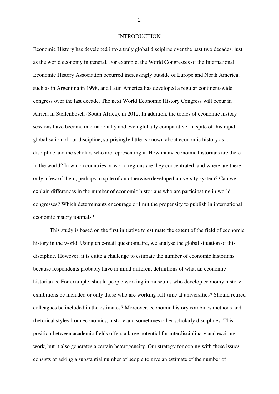#### INTRODUCTION

Economic History has developed into a truly global discipline over the past two decades, just as the world economy in general. For example, the World Congresses of the International Economic History Association occurred increasingly outside of Europe and North America, such as in Argentina in 1998, and Latin America has developed a regular continent-wide congress over the last decade. The next World Economic History Congress will occur in Africa, in Stellenbosch (South Africa), in 2012. In addition, the topics of economic history sessions have become internationally and even globally comparative. In spite of this rapid globalisation of our discipline, surprisingly little is known about economic history as a discipline and the scholars who are representing it. How many economic historians are there in the world? In which countries or world regions are they concentrated, and where are there only a few of them, perhaps in spite of an otherwise developed university system? Can we explain differences in the number of economic historians who are participating in world congresses? Which determinants encourage or limit the propensity to publish in international economic history journals?

This study is based on the first initiative to estimate the extent of the field of economic history in the world. Using an e-mail questionnaire, we analyse the global situation of this discipline. However, it is quite a challenge to estimate the number of economic historians because respondents probably have in mind different definitions of what an economic historian is. For example, should people working in museums who develop economy history exhibitions be included or only those who are working full-time at universities? Should retired colleagues be included in the estimates? Moreover, economic history combines methods and rhetorical styles from economics, history and sometimes other scholarly disciplines. This position between academic fields offers a large potential for interdisciplinary and exciting work, but it also generates a certain heterogeneity. Our strategy for coping with these issues consists of asking a substantial number of people to give an estimate of the number of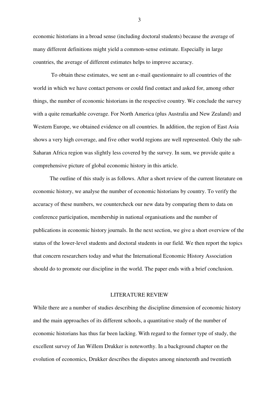economic historians in a broad sense (including doctoral students) because the average of many different definitions might yield a common-sense estimate. Especially in large countries, the average of different estimates helps to improve accuracy.

 To obtain these estimates, we sent an e-mail questionnaire to all countries of the world in which we have contact persons or could find contact and asked for, among other things, the number of economic historians in the respective country. We conclude the survey with a quite remarkable coverage. For North America (plus Australia and New Zealand) and Western Europe, we obtained evidence on all countries. In addition, the region of East Asia shows a very high coverage, and five other world regions are well represented. Only the sub-Saharan Africa region was slightly less covered by the survey. In sum, we provide quite a comprehensive picture of global economic history in this article.

The outline of this study is as follows. After a short review of the current literature on economic history, we analyse the number of economic historians by country. To verify the accuracy of these numbers, we countercheck our new data by comparing them to data on conference participation, membership in national organisations and the number of publications in economic history journals. In the next section, we give a short overview of the status of the lower-level students and doctoral students in our field. We then report the topics that concern researchers today and what the International Economic History Association should do to promote our discipline in the world. The paper ends with a brief conclusion.

#### LITERATURE REVIEW

While there are a number of studies describing the discipline dimension of economic history and the main approaches of its different schools, a quantitative study of the number of economic historians has thus far been lacking. With regard to the former type of study, the excellent survey of Jan Willem Drukker is noteworthy. In a background chapter on the evolution of economics, Drukker describes the disputes among nineteenth and twentieth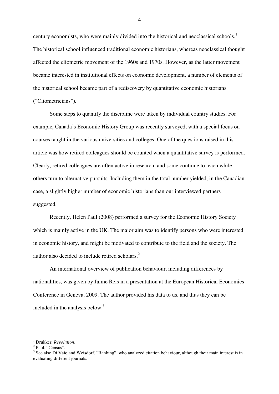century economists, who were mainly divided into the historical and neoclassical schools.<sup>1</sup> The historical school influenced traditional economic historians, whereas neoclassical thought affected the cliometric movement of the 1960s and 1970s. However, as the latter movement became interested in institutional effects on economic development, a number of elements of the historical school became part of a rediscovery by quantitative economic historians ("Cliometricians").

Some steps to quantify the discipline were taken by individual country studies. For example, Canada"s Economic History Group was recently surveyed, with a special focus on courses taught in the various universities and colleges. One of the questions raised in this article was how retired colleagues should be counted when a quantitative survey is performed. Clearly, retired colleagues are often active in research, and some continue to teach while others turn to alternative pursuits. Including them in the total number yielded, in the Canadian case, a slightly higher number of economic historians than our interviewed partners suggested.

Recently, Helen Paul (2008) performed a survey for the Economic History Society which is mainly active in the UK. The major aim was to identify persons who were interested in economic history, and might be motivated to contribute to the field and the society. The author also decided to include retired scholars. $<sup>2</sup>$ </sup>

 An international overview of publication behaviour, including differences by nationalities, was given by Jaime Reis in a presentation at the European Historical Economics Conference in Geneva, 2009. The author provided his data to us, and thus they can be included in the analysis below. $3$ 

-

<sup>1</sup> Drukker, *Revolution*.

<sup>&</sup>lt;sup>2</sup> Paul, "Census".

<sup>&</sup>lt;sup>3</sup> See also Di Vaio and Weisdorf, "Ranking", who analyzed citation behaviour, although their main interest is in evaluating different journals.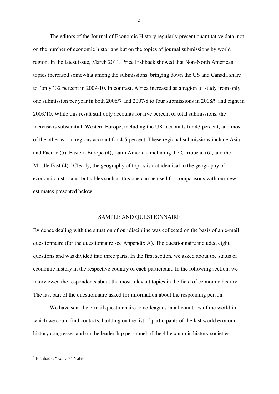The editors of the Journal of Economic History regularly present quantitative data, not on the number of economic historians but on the topics of journal submissions by world region. In the latest issue, March 2011, Price Fishback showed that Non-North American topics increased somewhat among the submissions, bringing down the US and Canada share to "only" 32 percent in 2009-10. In contrast, Africa increased as a region of study from only one submission per year in both 2006/7 and 2007/8 to four submissions in 2008/9 and eight in 2009/10. While this result still only accounts for five percent of total submissions, the increase is substantial. Western Europe, including the UK, accounts for 43 percent, and most of the other world regions account for 4-5 percent. These regional submissions include Asia and Pacific (5), Eastern Europe (4), Latin America, including the Caribbean (6), and the Middle East  $(4)$ .<sup>4</sup> Clearly, the geography of topics is not identical to the geography of economic historians, but tables such as this one can be used for comparisons with our new estimates presented below.

#### SAMPLE AND QUESTIONNAIRE

Evidence dealing with the situation of our discipline was collected on the basis of an e-mail questionnaire (for the questionnaire see Appendix A). The questionnaire included eight questions and was divided into three parts. In the first section, we asked about the status of economic history in the respective country of each participant. In the following section, we interviewed the respondents about the most relevant topics in the field of economic history. The last part of the questionnaire asked for information about the responding person.

We have sent the e-mail questionnaire to colleagues in all countries of the world in which we could find contacts, building on the list of participants of the last world economic history congresses and on the leadership personnel of the 44 economic history societies

<sup>&</sup>lt;sup>4</sup> Fishback, "Editors' Notes".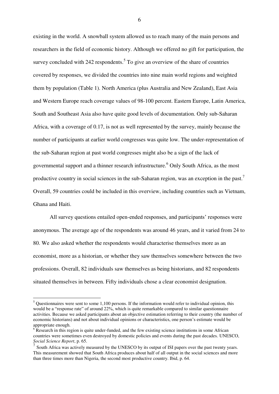existing in the world. A snowball system allowed us to reach many of the main persons and researchers in the field of economic history. Although we offered no gift for participation, the survey concluded with  $242$  respondents.<sup>5</sup> To give an overview of the share of countries covered by responses, we divided the countries into nine main world regions and weighted them by population (Table 1). North America (plus Australia and New Zealand), East Asia and Western Europe reach coverage values of 98-100 percent. Eastern Europe, Latin America, South and Southeast Asia also have quite good levels of documentation. Only sub-Saharan Africa, with a coverage of 0.17, is not as well represented by the survey, mainly because the number of participants at earlier world congresses was quite low. The under-representation of the sub-Saharan region at past world congresses might also be a sign of the lack of governmental support and a thinner research infrastructure.<sup>6</sup> Only South Africa, as the most productive country in social sciences in the sub-Saharan region, was an exception in the past.<sup>7</sup> Overall, 59 countries could be included in this overview, including countries such as Vietnam, Ghana and Haiti.

All survey questions entailed open-ended responses, and participants' responses were anonymous. The average age of the respondents was around 46 years, and it varied from 24 to 80. We also asked whether the respondents would characterise themselves more as an economist, more as a historian, or whether they saw themselves somewhere between the two professions. Overall, 82 individuals saw themselves as being historians, and 82 respondents situated themselves in between. Fifty individuals chose a clear economist designation.

-

 $<sup>5</sup>$  Questionnaires were sent to some 1,100 persons. If the information would refer to individual opinion, this</sup> would be a "response rate" of around 22%, which is quite remarkable compared to similar questionnaire activities. Because we asked participants about an objective estimation referring to their country (the number of economic historians) and not about individual opinions or characteristics, one person"s estimate would be appropriate enough.

 $6 \text{ Research}$  in this region is quite under-funded, and the few existing science institutions in some African countries were sometimes even destroyed by domestic policies and events during the past decades. UNESCO, *Social Science Report*, p. 65.

<sup>&</sup>lt;sup>7</sup> South Africa was actively measured by the UNESCO by its output of ISI papers over the past twenty years. This measurement showed that South Africa produces about half of all output in the social sciences and more than three times more than Nigeria, the second most productive country. Ibid, p. 64.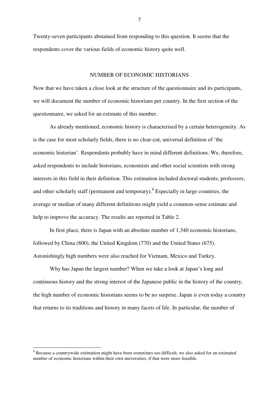Twenty-seven participants abstained from responding to this question. It seems that the respondents cover the various fields of economic history quite well.

#### NUMBER OF ECONOMIC HISTORIANS

Now that we have taken a close look at the structure of the questionnaire and its participants, we will document the number of economic historians per country. In the first section of the questionnaire, we asked for an estimate of this number.

As already mentioned, economic history is characterised by a certain heterogeneity. As is the case for most scholarly fields, there is no clear-cut, universal definition of "the economic historian". Respondents probably have in mind different definitions. We, therefore, asked respondents to include historians, economists and other social scientists with strong interests in this field in their definition. This estimation included doctoral students, professors, and other scholarly staff (permanent and temporary).<sup>8</sup> Especially in large countries, the average or median of many different definitions might yield a common-sense estimate and help to improve the accuracy. The results are reported in Table 2.

In first place, there is Japan with an absolute number of 1,340 economic historians, followed by China (800), the United Kingdom (770) and the United States (675). Astonishingly high numbers were also reached for Vietnam, Mexico and Turkey.

Why has Japan the largest number? When we take a look at Japan"s long and continuous history and the strong interest of the Japanese public in the history of the country, the high number of economic historians seems to be no surprise. Japan is even today a country that returns to its traditions and history in many facets of life. In particular, the number of

-

<sup>&</sup>lt;sup>8</sup> Because a countrywide estimation might have been sometimes too difficult, we also asked for an estimated number of economic historians within their own universities, if that were more feasible.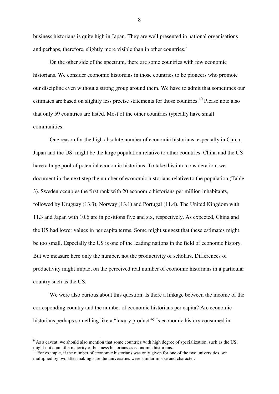business historians is quite high in Japan. They are well presented in national organisations and perhaps, therefore, slightly more visible than in other countries.<sup>9</sup>

On the other side of the spectrum, there are some countries with few economic historians. We consider economic historians in those countries to be pioneers who promote our discipline even without a strong group around them. We have to admit that sometimes our estimates are based on slightly less precise statements for those countries.<sup>10</sup> Please note also that only 59 countries are listed. Most of the other countries typically have small communities.

One reason for the high absolute number of economic historians, especially in China, Japan and the US, might be the large population relative to other countries. China and the US have a huge pool of potential economic historians. To take this into consideration, we document in the next step the number of economic historians relative to the population (Table 3). Sweden occupies the first rank with 20 economic historians per million inhabitants, followed by Uruguay (13.3), Norway (13.1) and Portugal (11.4). The United Kingdom with 11.3 and Japan with 10.6 are in positions five and six, respectively. As expected, China and the US had lower values in per capita terms. Some might suggest that these estimates might be too small. Especially the US is one of the leading nations in the field of economic history. But we measure here only the number, not the productivity of scholars. Differences of productivity might impact on the perceived real number of economic historians in a particular country such as the US.

We were also curious about this question: Is there a linkage between the income of the corresponding country and the number of economic historians per capita? Are economic historians perhaps something like a "luxury product"? Is economic history consumed in

-

 $9<sup>9</sup>$  As a caveat, we should also mention that some countries with high degree of specialization, such as the US, might not count the majority of business historians as economic historians.

 $10$  For example, if the number of economic historians was only given for one of the two universities, we multiplied by two after making sure the universities were similar in size and character.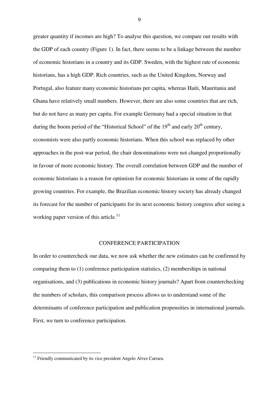greater quantity if incomes are high? To analyse this question, we compare our results with the GDP of each country (Figure 1). In fact, there seems to be a linkage between the number of economic historians in a country and its GDP. Sweden, with the highest rate of economic historians, has a high GDP. Rich countries, such as the United Kingdom, Norway and Portugal, also feature many economic historians per capita, whereas Haiti, Mauritania and Ghana have relatively small numbers. However, there are also some countries that are rich, but do not have as many per capita. For example Germany had a special situation in that during the boom period of the "Historical School" of the  $19<sup>th</sup>$  and early  $20<sup>th</sup>$  century, economists were also partly economic historians. When this school was replaced by other approaches in the post-war period, the chair denominations were not changed proportionally in favour of more economic history. The overall correlation between GDP and the number of economic historians is a reason for optimism for economic historians in some of the rapidly growing countries. For example, the Brazilian economic history society has already changed its forecast for the number of participants for its next economic history congress after seeing a working paper version of this article.<sup>11</sup>

#### CONFERENCE PARTICIPATION

In order to countercheck our data, we now ask whether the new estimates can be confirmed by comparing them to (1) conference participation statistics, (2) memberships in national organisations, and (3) publications in economic history journals? Apart from counterchecking the numbers of scholars, this comparison process allows us to understand some of the determinants of conference participation and publication propensities in international journals. First, we turn to conference participation.

-

 $11$  Friendly communicated by its vice president Angelo Alves Carrara.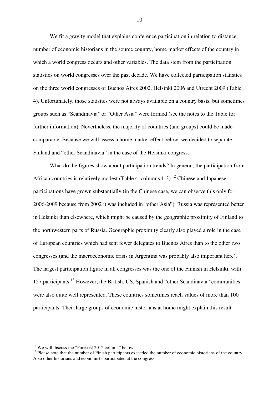We fit a gravity model that explains conference participation in relation to distance, number of economic historians in the source country, home market effects of the country in which a world congress occurs and other variables. The data stem from the participation statistics on world congresses over the past decade. We have collected participation statistics on the three world congresses of Buenos Aires 2002, Helsinki 2006 and Utrecht 2009 (Table 4). Unfortunately, those statistics were not always available on a country basis, but sometimes groups such as "Scandinavia" or "Other Asia" were formed (see the notes to the Table for further information). Nevertheless, the majority of countries (and groups) could be made comparable. Because we will assess a home market effect below, we decided to separate Finland and "other Scandinavia" in the case of the Helsinki congress.

What do the figures show about participation trends? In general, the participation from African countries is relatively modest (Table 4, columns  $1-3$ ).<sup>12</sup> Chinese and Japanese participations have grown substantially (in the Chinese case, we can observe this only for 2006-2009 because from 2002 it was included in "other Asia"). Russia was represented better in Helsinki than elsewhere, which might be caused by the geographic proximity of Finland to the northwestern parts of Russia. Geographic proximity clearly also played a role in the case of European countries which had sent fewer delegates to Buenos Aires than to the other two congresses (and the macroeconomic crisis in Argentina was probably also important here). The largest participation figure in all congresses was the one of the Finnish in Helsinki, with 157 participants.<sup>13</sup> However, the British, US, Spanish and "other Scandinavia" communities were also quite well represented. These countries sometimes reach values of more than 100 participants. Their large groups of economic historians at home might explain this result--

<u>.</u>

<sup>&</sup>lt;sup>12</sup> We will discuss the "Forecast 2012 column" below.

<sup>&</sup>lt;sup>13</sup> Please note that the number of Finish participants exceeded the number of economic historians of the country. Also other historians and economists participated at the congress.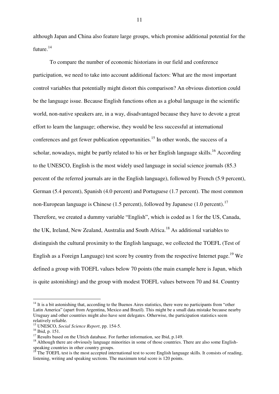although Japan and China also feature large groups, which promise additional potential for the future. $^{14}$ 

To compare the number of economic historians in our field and conference participation, we need to take into account additional factors: What are the most important control variables that potentially might distort this comparison? An obvious distortion could be the language issue. Because English functions often as a global language in the scientific world, non-native speakers are, in a way, disadvantaged because they have to devote a great effort to learn the language; otherwise, they would be less successful at international conferences and get fewer publication opportunities.<sup>15</sup> In other words, the success of a scholar, nowadays, might be partly related to his or her English language skills.<sup>16</sup> According to the UNESCO, English is the most widely used language in social science journals (85.3 percent of the referred journals are in the English language), followed by French (5.9 percent), German (5.4 percent), Spanish (4.0 percent) and Portuguese (1.7 percent). The most common non-European language is Chinese (1.5 percent), followed by Japanese (1.0 percent).<sup>17</sup> Therefore, we created a dummy variable "English", which is coded as 1 for the US, Canada, the UK, Ireland, New Zealand, Australia and South Africa.<sup>18</sup> As additional variables to distinguish the cultural proximity to the English language, we collected the TOEFL (Test of English as a Foreign Language) test score by country from the respective Internet page.<sup>19</sup> We defined a group with TOEFL values below 70 points (the main example here is Japan, which is quite astonishing) and the group with modest TOEFL values between 70 and 84. Country

-

 $14$  It is a bit astonishing that, according to the Buenos Aires statistics, there were no participants from "other Latin America" (apart from Argentina, Mexico and Brazil). This might be a small data mistake because nearby Uruguay and other countries might also have sent delegates. Otherwise, the participation statistics seem relatively reliable.

<sup>15</sup> UNESCO, *Social Science Report*, pp. 154-5.

 $16$  Ibid, p.  $151$ .

 $17$  Results based on the Ulrich database. For further information, see Ibid, p.149.

<sup>&</sup>lt;sup>18</sup> Although there are obviously language minorities in some of those countries. There are also some Englishspeaking countries in other country groups.

<sup>19</sup> The TOEFL test is the most accepted international test to score English language skills. It consists of reading, listening, writing and speaking sections. The maximum total score is 120 points.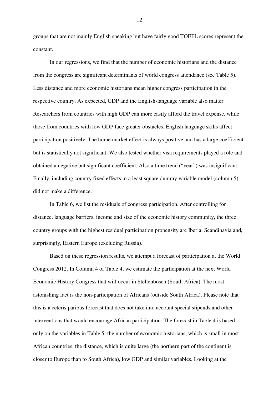groups that are not mainly English speaking but have fairly good TOEFL scores represent the constant.

In our regressions, we find that the number of economic historians and the distance from the congress are significant determinants of world congress attendance (see Table 5). Less distance and more economic historians mean higher congress participation in the respective country. As expected, GDP and the English-language variable also matter. Researchers from countries with high GDP can more easily afford the travel expense, while those from countries with low GDP face greater obstacles. English language skills affect participation positively. The home market effect is always positive and has a large coefficient but is statistically not significant. We also tested whether visa requirements played a role and obtained a negative but significant coefficient. Also a time trend ("year") was insignificant. Finally, including country fixed effects in a least square dummy variable model (column 5) did not make a difference.

In Table 6, we list the residuals of congress participation. After controlling for distance, language barriers, income and size of the economic history community, the three country groups with the highest residual participation propensity are Iberia, Scandinavia and, surprisingly, Eastern Europe (excluding Russia).

Based on these regression results, we attempt a forecast of participation at the World Congress 2012. In Column 4 of Table 4, we estimate the participation at the next World Economic History Congress that will occur in Stellenbosch (South Africa). The most astonishing fact is the non-participation of Africans (outside South Africa). Please note that this is a ceteris paribus forecast that does not take into account special stipends and other interventions that would encourage African participation. The forecast in Table 4 is based only on the variables in Table 5: the number of economic historians, which is small in most African countries, the distance, which is quite large (the northern part of the continent is closer to Europe than to South Africa), low GDP and similar variables. Looking at the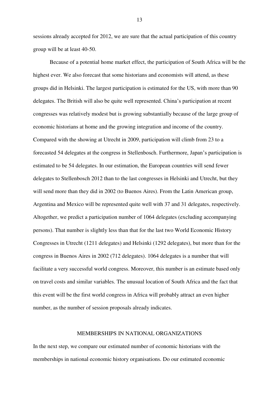sessions already accepted for 2012, we are sure that the actual participation of this country group will be at least 40-50.

Because of a potential home market effect, the participation of South Africa will be the highest ever. We also forecast that some historians and economists will attend, as these groups did in Helsinki. The largest participation is estimated for the US, with more than 90 delegates. The British will also be quite well represented. China"s participation at recent congresses was relatively modest but is growing substantially because of the large group of economic historians at home and the growing integration and income of the country. Compared with the showing at Utrecht in 2009, participation will climb from 23 to a forecasted 54 delegates at the congress in Stellenbosch. Furthermore, Japan"s participation is estimated to be 54 delegates. In our estimation, the European countries will send fewer delegates to Stellenbosch 2012 than to the last congresses in Helsinki and Utrecht, but they will send more than they did in 2002 (to Buenos Aires). From the Latin American group, Argentina and Mexico will be represented quite well with 37 and 31 delegates, respectively. Altogether, we predict a participation number of 1064 delegates (excluding accompanying persons). That number is slightly less than that for the last two World Economic History Congresses in Utrecht (1211 delegates) and Helsinki (1292 delegates), but more than for the congress in Buenos Aires in 2002 (712 delegates). 1064 delegates is a number that will facilitate a very successful world congress. Moreover, this number is an estimate based only on travel costs and similar variables. The unusual location of South Africa and the fact that this event will be the first world congress in Africa will probably attract an even higher number, as the number of session proposals already indicates.

#### MEMBERSHIPS IN NATIONAL ORGANIZATIONS

In the next step, we compare our estimated number of economic historians with the memberships in national economic history organisations. Do our estimated economic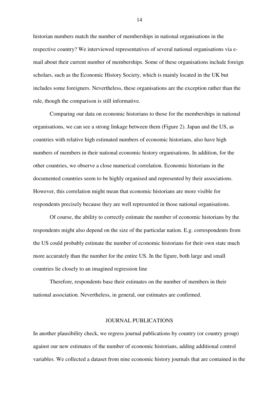historian numbers match the number of memberships in national organisations in the respective country? We interviewed representatives of several national organisations via email about their current number of memberships. Some of these organisations include foreign scholars, such as the Economic History Society, which is mainly located in the UK but includes some foreigners. Nevertheless, these organisations are the exception rather than the rule, though the comparison is still informative.

Comparing our data on economic historians to those for the memberships in national organisations, we can see a strong linkage between them (Figure 2). Japan and the US, as countries with relative high estimated numbers of economic historians, also have high numbers of members in their national economic history organisations. In addition, for the other countries, we observe a close numerical correlation. Economic historians in the documented countries seem to be highly organised and represented by their associations. However, this correlation might mean that economic historians are more visible for respondents precisely because they are well represented in those national organisations.

Of course, the ability to correctly estimate the number of economic historians by the respondents might also depend on the size of the particular nation. E.g. correspondents from the US could probably estimate the number of economic historians for their own state much more accurately than the number for the entire US. In the figure, both large and small countries lie closely to an imagined regression line

Therefore, respondents base their estimates on the number of members in their national association. Nevertheless, in general, our estimates are confirmed.

#### JOURNAL PUBLICATIONS

In another plausibility check, we regress journal publications by country (or country group) against our new estimates of the number of economic historians, adding additional control variables. We collected a dataset from nine economic history journals that are contained in the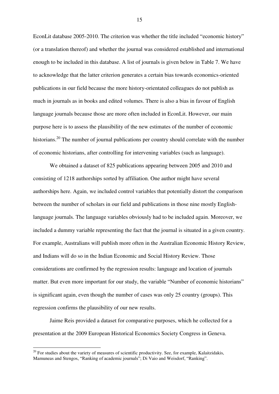EconLit database 2005-2010. The criterion was whether the title included "economic history" (or a translation thereof) and whether the journal was considered established and international enough to be included in this database. A list of journals is given below in Table 7. We have to acknowledge that the latter criterion generates a certain bias towards economics-oriented publications in our field because the more history-orientated colleagues do not publish as much in journals as in books and edited volumes. There is also a bias in favour of English language journals because those are more often included in EconLit. However, our main purpose here is to assess the plausibility of the new estimates of the number of economic historians.<sup>20</sup> The number of journal publications per country should correlate with the number of economic historians, after controlling for intervening variables (such as language).

 We obtained a dataset of 825 publications appearing between 2005 and 2010 and consisting of 1218 authorships sorted by affiliation. One author might have several authorships here. Again, we included control variables that potentially distort the comparison between the number of scholars in our field and publications in those nine mostly Englishlanguage journals. The language variables obviously had to be included again. Moreover, we included a dummy variable representing the fact that the journal is situated in a given country. For example, Australians will publish more often in the Australian Economic History Review, and Indians will do so in the Indian Economic and Social History Review. Those considerations are confirmed by the regression results: language and location of journals matter. But even more important for our study, the variable "Number of economic historians" is significant again, even though the number of cases was only 25 country (groups). This regression confirms the plausibility of our new results.

 Jaime Reis provided a dataset for comparative purposes, which he collected for a presentation at the 2009 European Historical Economics Society Congress in Geneva.

-

 $20$  For studies about the variety of measures of scientific productivity. See, for example, Kalaitzidakis, Mamuneas and Stengos, "Ranking of academic journals"; Di Vaio and Weisdorf, "Ranking".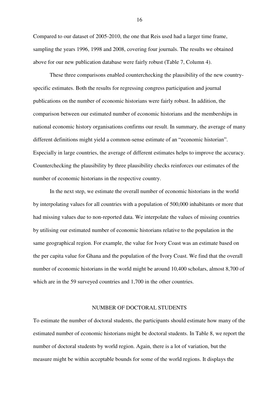Compared to our dataset of 2005-2010, the one that Reis used had a larger time frame, sampling the years 1996, 1998 and 2008, covering four journals. The results we obtained above for our new publication database were fairly robust (Table 7, Column 4).

 These three comparisons enabled counterchecking the plausibility of the new countryspecific estimates. Both the results for regressing congress participation and journal publications on the number of economic historians were fairly robust. In addition, the comparison between our estimated number of economic historians and the memberships in national economic history organisations confirms our result. In summary, the average of many different definitions might yield a common-sense estimate of an "economic historian". Especially in large countries, the average of different estimates helps to improve the accuracy. Counterchecking the plausibility by three plausibility checks reinforces our estimates of the number of economic historians in the respective country.

In the next step, we estimate the overall number of economic historians in the world by interpolating values for all countries with a population of 500,000 inhabitants or more that had missing values due to non-reported data. We interpolate the values of missing countries by utilising our estimated number of economic historians relative to the population in the same geographical region. For example, the value for Ivory Coast was an estimate based on the per capita value for Ghana and the population of the Ivory Coast. We find that the overall number of economic historians in the world might be around 10,400 scholars, almost 8,700 of which are in the 59 surveyed countries and 1,700 in the other countries.

#### NUMBER OF DOCTORAL STUDENTS

To estimate the number of doctoral students, the participants should estimate how many of the estimated number of economic historians might be doctoral students. In Table 8, we report the number of doctoral students by world region. Again, there is a lot of variation, but the measure might be within acceptable bounds for some of the world regions. It displays the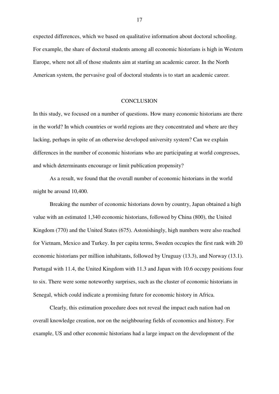expected differences, which we based on qualitative information about doctoral schooling. For example, the share of doctoral students among all economic historians is high in Western Europe, where not all of those students aim at starting an academic career. In the North American system, the pervasive goal of doctoral students is to start an academic career.

#### **CONCLUSION**

In this study, we focused on a number of questions. How many economic historians are there in the world? In which countries or world regions are they concentrated and where are they lacking, perhaps in spite of an otherwise developed university system? Can we explain differences in the number of economic historians who are participating at world congresses, and which determinants encourage or limit publication propensity?

As a result, we found that the overall number of economic historians in the world might be around 10,400.

Breaking the number of economic historians down by country, Japan obtained a high value with an estimated 1,340 economic historians, followed by China (800), the United Kingdom (770) and the United States (675). Astonishingly, high numbers were also reached for Vietnam, Mexico and Turkey. In per capita terms, Sweden occupies the first rank with 20 economic historians per million inhabitants, followed by Uruguay (13.3), and Norway (13.1). Portugal with 11.4, the United Kingdom with 11.3 and Japan with 10.6 occupy positions four to six. There were some noteworthy surprises, such as the cluster of economic historians in Senegal, which could indicate a promising future for economic history in Africa.

Clearly, this estimation procedure does not reveal the impact each nation had on overall knowledge creation, nor on the neighbouring fields of economics and history. For example, US and other economic historians had a large impact on the development of the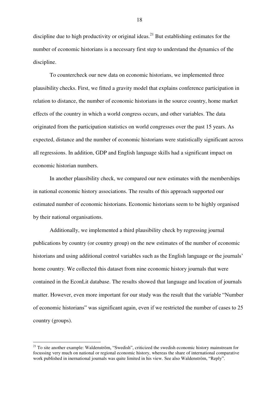discipline due to high productivity or original ideas.<sup>21</sup> But establishing estimates for the number of economic historians is a necessary first step to understand the dynamics of the discipline.

To countercheck our new data on economic historians, we implemented three plausibility checks. First, we fitted a gravity model that explains conference participation in relation to distance, the number of economic historians in the source country, home market effects of the country in which a world congress occurs, and other variables. The data originated from the participation statistics on world congresses over the past 15 years. As expected, distance and the number of economic historians were statistically significant across all regressions. In addition, GDP and English language skills had a significant impact on economic historian numbers.

In another plausibility check, we compared our new estimates with the memberships in national economic history associations. The results of this approach supported our estimated number of economic historians. Economic historians seem to be highly organised by their national organisations.

 Additionally, we implemented a third plausibility check by regressing journal publications by country (or country group) on the new estimates of the number of economic historians and using additional control variables such as the English language or the journals' home country. We collected this dataset from nine economic history journals that were contained in the EconLit database. The results showed that language and location of journals matter. However, even more important for our study was the result that the variable "Number of economic historians" was significant again, even if we restricted the number of cases to 25 country (groups).

<u>.</u>

<sup>&</sup>lt;sup>21</sup> To site another example: Waldenström, "Swedish", criticized the swedish economic history mainstream for focussing very much on national or regional economic history, whereas the share of international comparative work published in inernational journals was quite limited in his view. See also Waldenström, "Reply".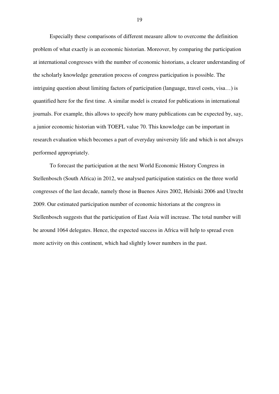Especially these comparisons of different measure allow to overcome the definition problem of what exactly is an economic historian. Moreover, by comparing the participation at international congresses with the number of economic historians, a clearer understanding of the scholarly knowledge generation process of congress participation is possible. The intriguing question about limiting factors of participation (language, travel costs, visa…) is quantified here for the first time. A similar model is created for publications in international journals. For example, this allows to specify how many publications can be expected by, say, a junior economic historian with TOEFL value 70. This knowledge can be important in research evaluation which becomes a part of everyday university life and which is not always performed appropriately.

To forecast the participation at the next World Economic History Congress in Stellenbosch (South Africa) in 2012, we analysed participation statistics on the three world congresses of the last decade, namely those in Buenos Aires 2002, Helsinki 2006 and Utrecht 2009. Our estimated participation number of economic historians at the congress in Stellenbosch suggests that the participation of East Asia will increase. The total number will be around 1064 delegates. Hence, the expected success in Africa will help to spread even more activity on this continent, which had slightly lower numbers in the past.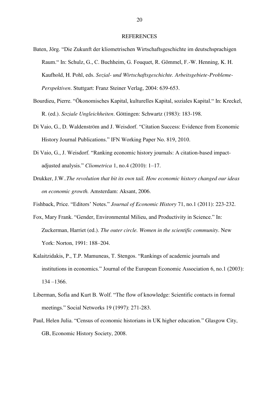#### **REFERENCES**

- Baten, Jörg. "Die Zukunft der kliometrischen Wirtschaftsgeschichte im deutschsprachigen Raum." In: Schulz, G., C. Buchheim, G. Fouquet, R. Gömmel, F.-W. Henning, K. H. Kaufhold, H. Pohl, eds. *Sozial- und Wirtschaftsgeschichte. Arbeitsgebiete-Probleme-Perspektiven*. Stuttgart: Franz Steiner Verlag, 2004: 639-653.
- Bourdieu, Pierre. "Ökonomisches Kapital, kulturelles Kapital, soziales Kapital." In: Kreckel, R. (ed.). *Soziale Ungleichheiten*. Göttingen: Schwartz (1983): 183-198.
- Di Vaio, G., D. Waldenström and J. Weisdorf. "Citation Success: Evidence from Economic History Journal Publications." IFN Working Paper No. 819, 2010.
- Di Vaio, G., J. Weisdorf. "Ranking economic history journals: A citation-based impactadjusted analysis." *Cliometrica* 1, no.4 (2010): 1–17.
- Drukker, J.W..*The revolution that bit its own tail. How economic history changed our ideas on economic growth.* Amsterdam: Aksant, 2006.
- Fishback, Price. "Editors" Notes." *Journal of Economic History* 71, no.1 (2011): 223-232.
- Fox, Mary Frank. "Gender, Environmental Milieu, and Productivity in Science." In: Zuckerman, Harriet (ed.). *The outer circle. Women in the scientific community*. New York: Norton, 1991: 188–204.
- Kalaitzidakis, P., T.P. Mamuneas, T. Stengos. "Rankings of academic journals and institutions in economics." Journal of the European Economic Association 6, no.1 (2003): 134 –1366.
- Liberman, Sofia and Kurt B. Wolf. "The flow of knowledge: Scientific contacts in formal meetings." Social Networks 19 (1997): 271-283.
- Paul, Helen Julia. "Census of economic historians in UK higher education*.*" Glasgow City, GB, Economic History Society, 2008.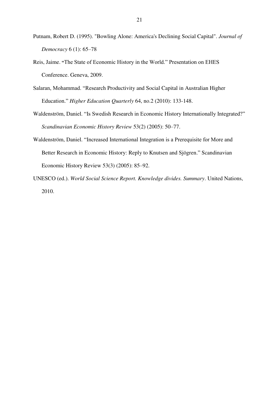- Putnam, Robert D. (1995). ["Bowling Alone: America's Declining Social Capital".](http://xroads.virginia.edu/~HYPER/DETOC/assoc/bowling.html) *Journal of Democracy* 6 (1): 65–78
- Reis, Jaime. **"**The State of Economic History in the World." Presentation on EHES Conference. Geneva, 2009.
- Salaran, Mohammad. "Research Productivity and Social Capital in Australian Higher Education." *Higher Education Quarterly* 64, no.2 (2010): 133-148.
- Waldenström, Daniel. ["Is Swedish Research in Economic History Internationally Integrated?"](http://www.anst.uu.se/danwa175/Research_files/Is%20Swedish%20Research%20in%20Economic%20History%20Internationally%20Integrated%20%282%29.pdf) *[Scandinavian Economic History Review](http://www.anst.uu.se/danwa175/Research_files/Is%20Swedish%20Research%20in%20Economic%20History%20Internationally%20Integrated%20%282%29.pdf)* 53(2) (2005): 50–77.
- Waldenström, Daniel. ["Increased International Integration is a Prerequisite for More and](http://www.anst.uu.se/danwa175/Research_files/Increased%20International%20Integration%20is%20a%20Prerequisite%20for%20More%20and%20Better%20Research%20in%20Economic%20History.pdf)  [Better Research in Economic History: Reply to Knutsen and Sjögren](http://www.anst.uu.se/danwa175/Research_files/Increased%20International%20Integration%20is%20a%20Prerequisite%20for%20More%20and%20Better%20Research%20in%20Economic%20History.pdf)." Scandinavian [Economic History Review 53\(3\) \(2005\): 85](http://www.anst.uu.se/danwa175/Research_files/Increased%20International%20Integration%20is%20a%20Prerequisite%20for%20More%20and%20Better%20Research%20in%20Economic%20History.pdf)–92.
- UNESCO (ed.). *World Social Science Report. Knowledge divides. Summary*. United Nations, 2010.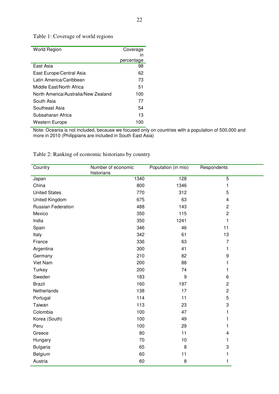|  | Table 1: Coverage of world regions |  |  |
|--|------------------------------------|--|--|
|  |                                    |  |  |

| <b>World Region</b>                 | Coverage   |
|-------------------------------------|------------|
|                                     | in         |
|                                     | percentage |
| East Asia                           | 98         |
| East Europe/Central Asia            | 62         |
| Latin America/Caribbean             | 73         |
| Middle East/North Africa            | 51         |
| North America/Australia/New Zealand | 100        |
| South Asia                          | 77         |
| Southeast Asia                      | 54         |
| Subsaharan Africa                   | 13         |
| Western Europe                      | 100        |
|                                     |            |

Note: Oceania is not included, because we focused only on countries with a population of 500,000 and more in 2010 (Philippians are included in South East Asia)

| Country                   | Number of economic<br>historians | Population (in mio) | Respondents    |
|---------------------------|----------------------------------|---------------------|----------------|
| Japan                     | 1340                             | 128                 | $\overline{5}$ |
| China                     | 800                              | 1346                | 1              |
| <b>United States</b>      | 770                              | 312                 | 5              |
| United Kingdom            | 675                              | 63                  | 4              |
| <b>Russian Federation</b> | 488                              | 143                 | $\overline{c}$ |
| Mexico                    | 350                              | 115                 | $\overline{c}$ |
| India                     | 350                              | 1241                | 1              |
| Spain                     | 346                              | 46                  | 11             |
| Italy                     | 342                              | 61                  | 13             |
| France                    | 336                              | 63                  | $\overline{7}$ |
| Argentina                 | 300                              | 41                  | 1              |
| Germany                   | 210                              | 82                  | 9              |
| Viet Nam                  | 200                              | 88                  | 1              |
| Turkey                    | 200                              | 74                  | 1              |
| Sweden                    | 183                              | 9                   | 6              |
| <b>Brazil</b>             | 160                              | 197                 | $\overline{c}$ |
| Netherlands               | 138                              | 17                  | $\overline{c}$ |
| Portugal                  | 114                              | 11                  | 5              |
| Taiwan                    | 113                              | 23                  | 3              |
| Colombia                  | 100                              | 47                  | 1              |
| Korea (South)             | 100                              | 49                  | 1              |
| Peru                      | 100                              | 29                  | 1              |
| Greece                    | 80                               | 11                  | 4              |
| Hungary                   | 70                               | 10                  | 1              |
| <b>Bulgaria</b>           | 65                               | 8                   | 3              |
| Belgium                   | 60                               | 11                  | 1              |
| Austria                   | 60                               | 8                   | 1              |

Table 2: Ranking of economic historians by country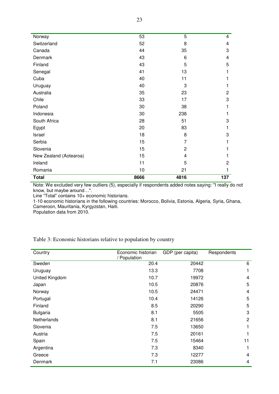| Norway                 | 53   | 5              | 4   |
|------------------------|------|----------------|-----|
| Switzerland            | 52   | 8              | 4   |
| Canada                 | 44   | 35             | 3   |
| Denmark                | 43   | 6              | 4   |
| Finland                | 43   | 5              | 5   |
| Senegal                | 41   | 13             | 1   |
| Cuba                   | 40   | 11             |     |
| Uruguay                | 40   | 3              |     |
| Australia              | 35   | 23             | 2   |
| Chile                  | 33   | 17             | 3   |
| Poland                 | 30   | 38             | 1   |
| Indonesia              | 30   | 238            | 1   |
| South Africa           | 28   | 51             | 3   |
| Egypt                  | 20   | 83             | 1   |
| Israel                 | 18   | 8              | 3   |
| Serbia                 | 15   | 7              |     |
| Slovenia               | 15   | $\overline{c}$ |     |
| New Zealand (Aotearoa) | 15   | 4              |     |
| Ireland                | 11   | 5              | 2   |
| Romania                | 10   | 21             |     |
| <b>Total</b>           | 8666 | 4816           | 137 |

Note: We excluded very few outliers (5), especially if respondents added notes saying: "I really do not know, but maybe around…".

Line "Total" contains 10+ economic historians.

1-10 economic historians in the following countries: Morocco, Bolivia, Estonia, Algeria, Syria, Ghana, Cameroon, Mauritania, Kyrgyzstan, Haiti.

Population data from 2010.

| Country            | Economic historian<br>/ Population | GDP (per capita) | Respondents    |
|--------------------|------------------------------------|------------------|----------------|
| Sweden             | 20.4                               | 20442            | 6              |
| Uruguay            | 13.3                               | 7708             |                |
| United Kingdom     | 10.7                               | 19972            | 4              |
| Japan              | 10.5                               | 20876            | 5              |
| Norway             | 10.5                               | 24471            | 4              |
| Portugal           | 10.4                               | 14126            | 5              |
| Finland            | 8.5                                | 20290            | 5              |
| <b>Bulgaria</b>    | 8.1                                | 5505             | 3              |
| <b>Netherlands</b> | 8.1                                | 21656            | $\overline{c}$ |
| Slovenia           | 7.5                                | 13650            |                |
| Austria            | 7.5                                | 20161            |                |
| Spain              | 7.5                                | 15464            | 11             |
| Argentina          | 7.3                                | 8340             |                |
| Greece             | 7.3                                | 12277            | 4              |
| Denmark            | 7.1                                | 23086            | 4              |

Table 3: Economic historians relative to population by country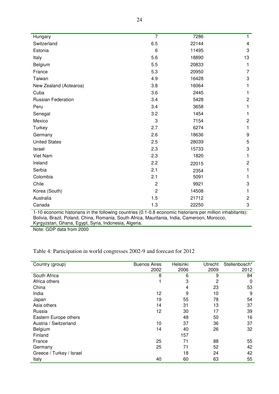| Hungary                   | $\overline{7}$   | 7286  | $\mathbf{1}$            |
|---------------------------|------------------|-------|-------------------------|
| Switzerland               | 6.5              | 22144 | $\overline{\mathbf{4}}$ |
| Estonia                   | 6                | 11495 | 3                       |
| Italy                     | 5.6              | 18890 | 13                      |
| Belgium                   | 5.5              | 20833 | 1                       |
| France                    | 5.3              | 20950 | $\overline{7}$          |
| Taiwan                    | 4.9              | 16428 | 3                       |
| New Zealand (Aotearoa)    | 3.8              | 16064 | 1                       |
| Cuba                      | 3.6              | 2445  | 1                       |
| <b>Russian Federation</b> | 3.4              | 5428  | $\overline{c}$          |
| Peru                      | 3.4              | 3658  | 1                       |
| Senegal                   | 3.2              | 1454  | 1                       |
| Mexico                    | $\boldsymbol{3}$ | 7154  | $\overline{c}$          |
| Turkey                    | 2.7              | 6274  | 1                       |
| Germany                   | 2.6              | 18636 | 9                       |
| <b>United States</b>      | 2.5              | 28039 | 5                       |
| Israel                    | 2.3              | 15733 | 3                       |
| Viet Nam                  | 2.3              | 1820  | 1                       |
| Ireland                   | 2.2              | 22015 | $\overline{c}$          |
| Serbia                    | 2.1              | 2354  | 1                       |
| Colombia                  | 2.1              | 5091  | 1                       |
| Chile                     | $\overline{c}$   | 9921  | 3                       |
| Korea (South)             | $\sqrt{2}$       | 14508 | 1                       |
| Australia                 | 1.5              | 21712 | $\overline{c}$          |
| Canada                    | 1.3              | 22250 | 3                       |
|                           |                  |       |                         |

1-10 economic historians in the following countries (0.1-0.8 economic historians per million inhabitants): Bolivia, Brazil, Poland, China, Romania, South Africa, Mauritania, India, Cameroon, Morocco, Kyrgyzstan, Ghana, Egypt, Syria, Indonesia, Algeria.

Note: GDP data from 2000

l,

## Table 4: Participation in world congresses 2002-9 and forecast for 2012

| Country (group)          | <b>Buenos Aires</b> | Helsinki | Utrecht        | Stellenbosch* |
|--------------------------|---------------------|----------|----------------|---------------|
|                          | 2002                | 2006     | 2009           | 2012          |
| South Africa             | 8                   | 6        | 9              | 84            |
| Africa others            |                     | 3        | $\overline{c}$ | $\Omega$      |
| China                    |                     | 4        | 23             | 53            |
| India                    | 12                  | 9        | 10             | 9             |
| Japan                    | 19                  | 55       | 78             | 54            |
| Asia others              | 14                  | 31       | 13             | 37            |
| Russia                   | 12                  | 30       | 17             | 39            |
| Eastern Europe others    |                     | 48       | 50             | 16            |
| Austria / Switzerland    | 10                  | 37       | 36             | 37            |
| Belgium                  | 14                  | 40       | 26             | 32            |
| Finland                  |                     | 157      |                |               |
| France                   | 25                  | 71       | 88             | 55            |
| Germany                  | 25                  | 71       | 52             | 42            |
| Greece / Turkey / Israel |                     | 18       | 24             | 42            |
| Italy                    | 40                  | 60       | 63             | 55            |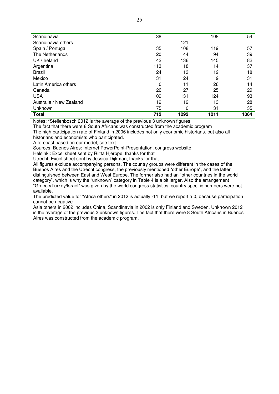| Scandinavia             | 38       |      | 108  | 54   |
|-------------------------|----------|------|------|------|
| Scandinavia others      |          | 121  |      |      |
| Spain / Portugal        | 35       | 108  | 119  | 57   |
| The Netherlands         | 20       | 44   | 94   | 39   |
| UK / Ireland            | 42       | 136  | 145  | 82   |
| Argentina               | 113      | 18   | 14   | 37   |
| Brazil                  | 24       | 13   | 12   | 18   |
| Mexico                  | 31       | 24   | 9    | 31   |
| Latin America others    | $\Omega$ | 11   | 26   | 14   |
| Canada                  | 26       | 27   | 25   | 29   |
| <b>USA</b>              | 109      | 131  | 124  | 93   |
| Australia / New Zealand | 19       | 19   | 13   | 28   |
| Unknown                 | 75       | 0    | 31   | 35   |
| <b>Total</b>            | 712      | 1292 | 1211 | 1064 |

Notes: \*Stellenbosch 2012 is the average of the previous 3 unknown figures

The fact that there were 8 South Africans was constructed from the academic program

The high participation rate of Finland in 2006 includes not only economic historians, but also all historians and economists who participated.

A forecast based on our model, see text.

Sources: Buenos Aires: Internet PowerPoint-Presentation, congress website

Helsinki: Excel sheet sent by Riitta Hjerppe, thanks for that

Utrecht: Excel sheet sent by Jessica Dijkman, thanks for that

All figures exclude accompanying persons. The country groups were different in the cases of the Buenos Aires and the Utrecht congress, the previously mentioned "other Europe", and the latter distinguished between East and West Europe. The former also had an "other countries in the world category", which is why the "unknown" category in Table 4 is a bit larger. Also the arrangement "Greece/Turkey/Israel" was given by the world congress statistics, country specific numbers were not available.

The predicted value for "Africa others" in 2012 is actually -11, but we report a 0, because participation cannot be negative.

Asia others in 2002 includes China, Scandinavia in 2002 is only Finland and Sweden. Unknown 2012 is the average of the previous 3 unknown figures. The fact that there were 8 South Africans in Buenos Aires was constructed from the academic program.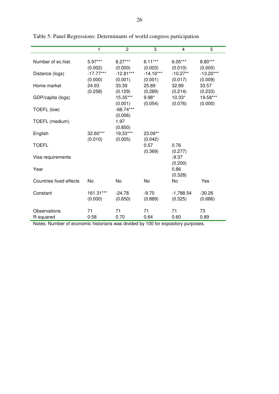|                           | 1                      | 2                      | 3                      | 4                      | 5                      |
|---------------------------|------------------------|------------------------|------------------------|------------------------|------------------------|
| Number of ec.hist.        | 5.97***<br>(0.002)     | $8.27***$<br>(0.000)   | $6.11***$<br>(0.003)   | $6.05***$<br>(0.010)   | $8.80***$<br>(0.000)   |
| Distance (logs)           | $-17.77***$<br>(0.000) | $-12.81***$<br>(0.001) | $-14.16***$<br>(0.001) | $-10.27**$<br>(0.017)  | $-13.20***$<br>(0.009) |
| Home market               | 24.93<br>(0.258)       | 33.39<br>(0.129)       | 25.89<br>(0.289)       | 32.89<br>(0.214)       | 33.57<br>(0.233)       |
| GDP/capita (logs)         |                        | 15.35***<br>(0.001)    | $9.98*$<br>(0.054)     | $10.33*$<br>(0.076)    | 19.58***<br>(0.000)    |
| TOEFL (low)               |                        | $-68.74***$<br>(0.006) |                        |                        |                        |
| TOEFL (medium)            |                        | 1.97<br>(0.850)        |                        |                        |                        |
| English                   | 32.60***<br>(0.010)    | 19.33***<br>(0.005)    | 23.09**<br>(0.042)     |                        |                        |
| <b>TOEFL</b>              |                        |                        | 0.57<br>(0.369)        | 0.76<br>(0.277)        |                        |
| Visa requirements         |                        |                        |                        | $-9.37$<br>(0.200)     |                        |
| Year                      |                        |                        |                        | 0.86<br>(0.328)        |                        |
| Countries fixed effects   | No                     | No                     | No                     | No                     | Yes                    |
| Constant                  | 161.31***<br>(0.000)   | $-24.78$<br>(0.650)    | $-9.70$<br>(0.889)     | $-1,788.54$<br>(0.325) | $-30.26$<br>(0.686)    |
| Observations<br>R-squared | 71<br>0.58             | 71<br>0.70             | 71<br>0.64             | 71<br>0.60             | 73<br>0.89             |

Table 5: Panel Regressions: Determinants of world congress participation

Notes: Number of economic historians was divided by 100 for expository purposes.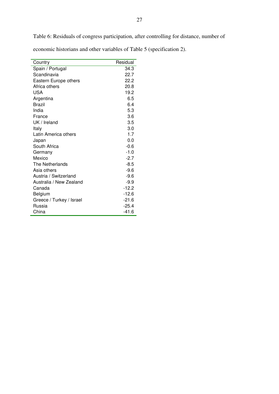Table 6: Residuals of congress participation, after controlling for distance, number of

economic historians and other variables of Table 5 (specification 2).

| Country                  | Residual |
|--------------------------|----------|
| Spain / Portugal         | 34.3     |
| Scandinavia              | 22.7     |
| Eastern Europe others    | 22.2     |
| Africa others            | 20.8     |
| USA                      | 19.2     |
| Argentina                | 6.5      |
| <b>Brazil</b>            | 6.4      |
| India                    | 5.3      |
| France                   | 3.6      |
| UK / Ireland             | 3.5      |
| Italy                    | 3.0      |
| Latin America others     | 1.7      |
| Japan                    | 0.0      |
| South Africa             | $-0.6$   |
| Germany                  | $-1.0$   |
| Mexico                   | $-2.7$   |
| The Netherlands          | $-8.5$   |
| Asia others              | $-9.6$   |
| Austria / Switzerland    | $-9.6$   |
| Australia / New Zealand  | $-9.9$   |
| Canada                   | $-12.2$  |
| Belgium                  | $-12.6$  |
| Greece / Turkey / Israel | $-21.6$  |
| Russia                   | $-25.4$  |
| China                    | $-41.6$  |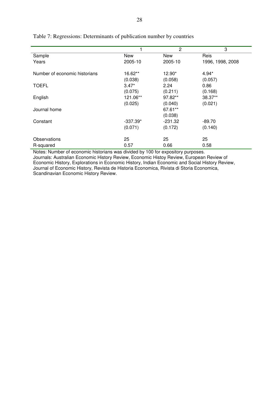|                               |            | 2          | 3                |
|-------------------------------|------------|------------|------------------|
| Sample                        | New        | <b>New</b> | Reis             |
| Years                         | 2005-10    | 2005-10    | 1996, 1998, 2008 |
| Number of economic historians | 16.62**    | 12.90*     | $4.94*$          |
|                               | (0.038)    | (0.058)    | (0.057)          |
| <b>TOEFL</b>                  | $3.47*$    | 2.24       | 0.86             |
|                               | (0.075)    | (0.211)    | (0.168)          |
| English                       | 121.06**   | 97.82**    | 38.37**          |
|                               | (0.025)    | (0.040)    | (0.021)          |
| Journal home                  |            | 67.61**    |                  |
|                               |            | (0.038)    |                  |
| Constant                      | $-337.39*$ | $-231.32$  | -89.70           |
|                               | (0.071)    | (0.172)    | (0.140)          |
| Observations                  | 25         | 25         | 25               |
| R-squared                     | 0.57       | 0.66       | 0.58             |

Table 7: Regressions: Determinants of publication number by countries

Notes: Number of economic historians was divided by 100 for expository purposes. Journals: Australian Economic History Review, Economic Histoy Review, European Review of Economic History, Explorations in Economic History, Indian Economic and Social History Review, Journal of Economic History, Revista de Historia Economica, Rivista di Storia Economica, Scandinavian Economic History Review.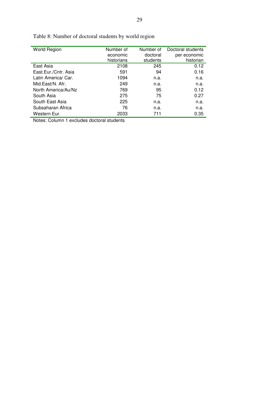| <b>World Region</b>  | Number of  | Number of | Doctoral students |
|----------------------|------------|-----------|-------------------|
|                      | economic   | doctoral  | per economic      |
|                      | historians | students  | historian         |
| East Asia            | 2108       | 245       | 0.12              |
| East.Eur./Cntr. Asia | 591        | 94        | 0.16              |
| Latin America/ Car.  | 1094       | n.a.      | n.a.              |
| Mid.East/N. Afr.     | 249        | n.a.      | n.a.              |
| North America/Au/Nz  | 769        | 95        | 0.12              |
| South Asia           | 275        | 75        | 0.27              |
| South East Asia      | 225        | n.a.      | n.a.              |
| Subsaharan Africa    | 76         | n.a.      | n.a.              |
| Western Eur.         | 2033       | 711       | 0.35              |

Table 8: Number of doctoral students by world region

Notes: Column 1 excludes doctoral students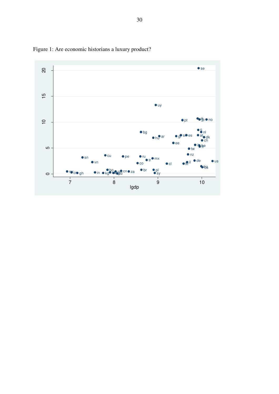

Figure 1: Are economic historians a luxury product?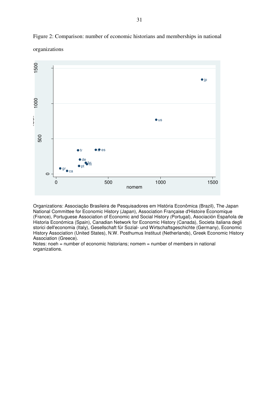Figure 2: Comparison: number of economic historians and memberships in national organizations



Organizations: Associação Brasileira de Pesquisadores em História Econômica (Brazil), The Japan National Committee for Economic History (Japan), Association Française d'Histoire Économique (France), Portuguese Association of Economic and Social History (Portugal), Asociación Española de Historia Económica (Spain), Canadian Network for Economic History (Canada), Societa italiana degli storici dell'economia (Italy), Gesellschaft für Sozial- und Wirtschaftsgeschichte (Germany), Economic History Association (United States), N.W. Posthumus Instituut (Netherlands), Greek Economic History Association (Greece).

Notes: noeh = number of economic historians; nomem = number of members in national organizations.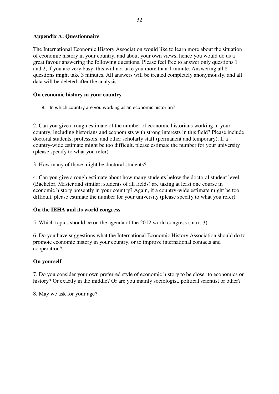## **Appendix A: Questionnaire**

The International Economic History Association would like to learn more about the situation of economic history in your country, and about your own views, hence you would do us a great favour answering the following questions. Please feel free to answer only questions 1 and 2, if you are very busy, this will not take you more than 1 minute. Answering all 8 questions might take 3 minutes. All answers will be treated completely anonymously, and all data will be deleted after the analysis.

## **On economic history in your country**

8. In which country are you working as an economic historian?

2. Can you give a rough estimate of the number of economic historians working in your country, including historians and economists with strong interests in this field? Please include doctoral students, professors, and other scholarly staff (permanent and temporary). If a country-wide estimate might be too difficult, please estimate the number for your university (please specify to what you refer).

3. How many of those might be doctoral students?

4. Can you give a rough estimate about how many students below the doctoral student level (Bachelor, Master and similar; students of all fields) are taking at least one course in economic history presently in your country? Again, if a country-wide estimate might be too difficult, please estimate the number for your university (please specify to what you refer).

## **On the IEHA and its world congress**

5. Which topics should be on the agenda of the 2012 world congress (max. 3)

6. Do you have suggestions what the International Economic History Association should do to promote economic history in your country, or to improve international contacts and cooperation?

## **On yourself**

7. Do you consider your own preferred style of economic history to be closer to economics or history? Or exactly in the middle? Or are you mainly sociologist, political scientist or other?

8. May we ask for your age?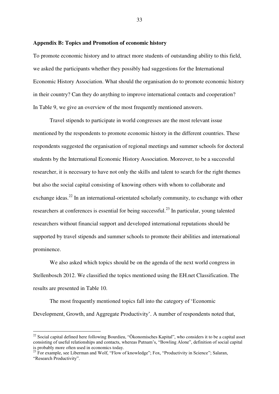#### **Appendix B: Topics and Promotion of economic history**

To promote economic history and to attract more students of outstanding ability to this field, we asked the participants whether they possibly had suggestions for the International Economic History Association. What should the organisation do to promote economic history in their country? Can they do anything to improve international contacts and cooperation? In Table 9, we give an overview of the most frequently mentioned answers.

Travel stipends to participate in world congresses are the most relevant issue mentioned by the respondents to promote economic history in the different countries. These respondents suggested the organisation of regional meetings and summer schools for doctoral students by the International Economic History Association. Moreover, to be a successful researcher, it is necessary to have not only the skills and talent to search for the right themes but also the social capital consisting of knowing others with whom to collaborate and exchange ideas.<sup>22</sup> In an international-orientated scholarly community, to exchange with other researchers at conferences is essential for being successful.<sup>23</sup> In particular, young talented researchers without financial support and developed international reputations should be supported by travel stipends and summer schools to promote their abilities and international prominence.

We also asked which topics should be on the agenda of the next world congress in Stellenbosch 2012. We classified the topics mentioned using the EH.net Classification. The results are presented in Table 10.

The most frequently mentioned topics fall into the category of "Economic Development, Growth, and Aggregate Productivity". A number of respondents noted that,

-

 $22$  Social capital defined here following Bourdieu, "Ökonomisches Kapital", who considers it to be a capital asset consisting of useful relationships and contacts, whereas Putnam"s, "Bowling Alone", definition of social capital is probably more often used in economics today.

<sup>&</sup>lt;sup>23</sup> For example, see Liberman and Wolf, "Flow of knowledge"; Fox, "Productivity in Science"; Salaran, "Research Productivity".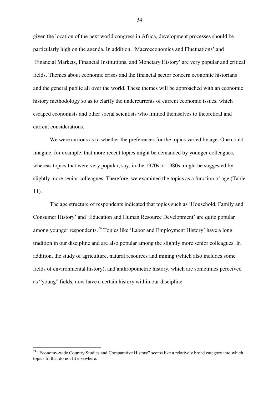given the location of the next world congress in Africa, development processes should be particularly high on the agenda. In addition, "Macroeconomics and Fluctuations" and "Financial Markets, Financial Institutions, and Monetary History" are very popular and critical fields. Themes about economic crises and the financial sector concern economic historians and the general public all over the world. These themes will be approached with an economic history methodology so as to clarify the undercurrents of current economic issues, which escaped economists and other social scientists who limited themselves to theoretical and current considerations.

We were curious as to whether the preferences for the topics varied by age. One could imagine, for example, that more recent topics might be demanded by younger colleagues, whereas topics that were very popular, say, in the 1970s or 1980s, might be suggested by slightly more senior colleagues. Therefore, we examined the topics as a function of age (Table 11).

The age structure of respondents indicated that topics such as "Household, Family and Consumer History' and 'Education and Human Resource Development' are quite popular among younger respondents.<sup>24</sup> Topics like 'Labor and Employment History' have a long tradition in our discipline and are also popular among the slightly more senior colleagues. In addition, the study of agriculture, natural resources and mining (which also includes some fields of environmental history), and anthropometric history, which are sometimes perceived as "young" fields, now have a certain history within our discipline.

-

<sup>&</sup>lt;sup>24</sup> "Economy-wide Country Studies and Comparative History" seems like a relatively broad category into which topics fit that do not fit elsewhere.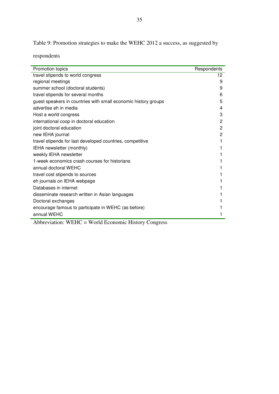Table 9: Promotion strategies to make the WEHC 2012 a success, as suggested by

respondents

| Promotion topics                                               | Respondents |
|----------------------------------------------------------------|-------------|
| travel stipends to world congress                              | 12.         |
| regional meetings                                              | 9           |
| summer school (doctoral students)                              | 9           |
| travel stipends for several months                             | 6           |
| guest speakers in countries with small economic history groups | 5           |
| advertise eh in media                                          | 4           |
| Host a world congress                                          | 3           |
| international coop in doctoral education                       | 2           |
| joint doctoral education                                       | 2           |
| new IEHA journal                                               | 2           |
| travel stipends for last developed countries, competitive      |             |
| IEHA newsletter (monthly)                                      |             |
| weekly IEHA newsletter                                         |             |
| 1-week economics crash courses for historians                  |             |
| annual doctoral WEHC                                           |             |
| travel cost stipends to sources                                |             |
| eh journals on IEHA webpage                                    |             |
| Databases in internet                                          |             |
| disseminate research written in Asian languages                |             |
| Doctoral exchanges                                             |             |
| encourage famous to participate in WEHC (as before)            |             |
| annual WEHC                                                    |             |

Abbreviation: WEHC = World Economic History Congress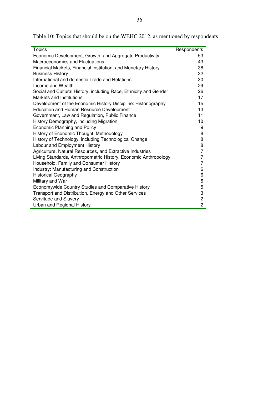| <b>Topics</b>                                                     | Respondents             |
|-------------------------------------------------------------------|-------------------------|
| Economic Development, Growth, and Aggregate Productivity          | 53                      |
| Macroeconomics and Fluctuations                                   | 43                      |
| Financial Markets, Financial Institution, and Monetary History    | 38                      |
| <b>Business History</b>                                           | 32                      |
| International and domestic Trade and Relations                    | 30                      |
| Income and Wealth                                                 | 29                      |
| Social and Cultural History, including Race, Ethnicity and Gender | 26                      |
| Markets and Institutions                                          | 17                      |
| Development of the Economic History Discipline: Historiography    | 15                      |
| <b>Education and Human Resource Development</b>                   | 13                      |
| Government, Law and Regulation, Public Finance                    | 11                      |
| History Demography, including Migration                           | 10                      |
| Economic Planning and Policy                                      | 9                       |
| History of Economic Thought, Methodology                          | 8                       |
| History of Technology, including Technological Change             | 8                       |
| Labour and Employment History                                     | 8                       |
| Agriculture, Natural Resources, and Extractive Industries         | $\overline{7}$          |
| Living Standards, Anthropometric History, Economic Anthropology   | 7                       |
| Household, Family and Consumer History                            | 7                       |
| Industry: Manufacturing and Construction                          | 6                       |
| <b>Historical Geography</b>                                       | 6                       |
| Military and War                                                  | 5                       |
| Economywide Country Studies and Comparative History               | 5                       |
| Transport and Distribution, Energy and Other Services             | 3                       |
| Servitude and Slavery                                             | $\overline{\mathbf{c}}$ |
| Urban and Regional History                                        | $\overline{c}$          |

Table 10: Topics that should be on the WEHC 2012, as mentioned by respondents